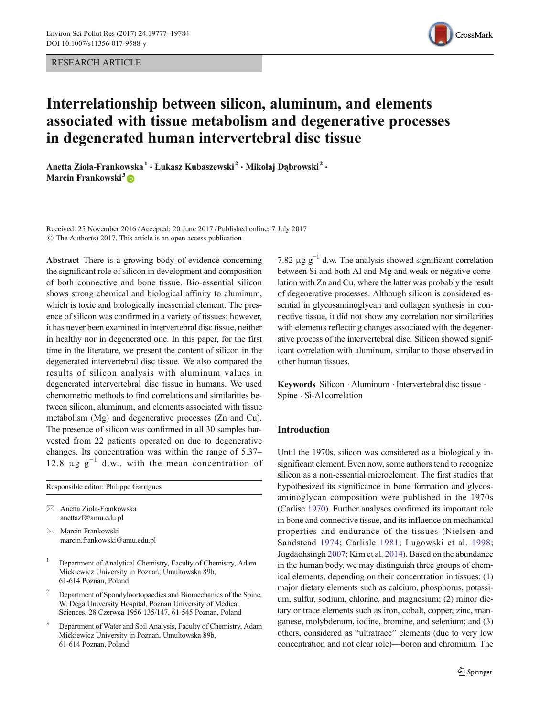RESEARCH ARTICLE



# Interrelationship between silicon, aluminum, and elements associated with tissue metabolism and degenerative processes in degenerated human intervertebral disc tissue

Anetta Zioła-Frankowska<sup>1</sup> · Łukasz Kubaszewski<sup>2</sup> · Mikołaj Dąbrowski<sup>2</sup> · Marcin Frankowski $3\blacksquare$ 

Received: 25 November 2016 /Accepted: 20 June 2017 /Published online: 7 July 2017  $\circ$  The Author(s) 2017. This article is an open access publication

Abstract There is a growing body of evidence concerning the significant role of silicon in development and composition of both connective and bone tissue. Bio-essential silicon shows strong chemical and biological affinity to aluminum, which is toxic and biologically inessential element. The presence of silicon was confirmed in a variety of tissues; however, it has never been examined in intervertebral disc tissue, neither in healthy nor in degenerated one. In this paper, for the first time in the literature, we present the content of silicon in the degenerated intervertebral disc tissue. We also compared the results of silicon analysis with aluminum values in degenerated intervertebral disc tissue in humans. We used chemometric methods to find correlations and similarities between silicon, aluminum, and elements associated with tissue metabolism (Mg) and degenerative processes (Zn and Cu). The presence of silicon was confirmed in all 30 samples harvested from 22 patients operated on due to degenerative changes. Its concentration was within the range of 5.37– 12.8  $\mu$ g g<sup>-1</sup> d.w., with the mean concentration of

| Responsible editor: Philippe Garrigues |                                                                                                                                                                                           |  |  |  |
|----------------------------------------|-------------------------------------------------------------------------------------------------------------------------------------------------------------------------------------------|--|--|--|
|                                        | Anetta Zioła-Frankowska<br>anettazf@amu.edu.pl                                                                                                                                            |  |  |  |
|                                        | Marcin Frankowski<br>marcin.frankowski@amu.edu.pl                                                                                                                                         |  |  |  |
| 1                                      | Department of Analytical Chemistry, Faculty of Chemistry, Adam<br>Mickiewicz University in Poznań, Umultowska 89b,<br>61-614 Poznan, Poland                                               |  |  |  |
| 2                                      | Department of Spondyloortopaedics and Biomechanics of the Spine,<br>W. Dega University Hospital, Poznan University of Medical<br>Sciences, 28 Czerwca 1956 135/147, 61-545 Poznan, Poland |  |  |  |
| 3                                      | Department of Water and Soil Analysis, Faculty of Chemistry, Adam<br>Mickiewicz University in Poznań, Umultowska 89b,                                                                     |  |  |  |

61-614 Poznan, Poland

7.82 μg  $g^{-1}$  d.w. The analysis showed significant correlation between Si and both Al and Mg and weak or negative correlation with Zn and Cu, where the latter was probably the result of degenerative processes. Although silicon is considered essential in glycosaminoglycan and collagen synthesis in connective tissue, it did not show any correlation nor similarities with elements reflecting changes associated with the degenerative process of the intervertebral disc. Silicon showed significant correlation with aluminum, similar to those observed in other human tissues.

Keywords Silicon . Aluminum . Intervertebral disc tissue . Spine . Si-Al correlation

#### Introduction

Until the 1970s, silicon was considered as a biologically insignificant element. Even now, some authors tend to recognize silicon as a non-essential microelement. The first studies that hypothesized its significance in bone formation and glycosaminoglycan composition were published in the 1970s (Carlise [1970\)](#page-6-0). Further analyses confirmed its important role in bone and connective tissue, and its influence on mechanical properties and endurance of the tissues (Nielsen and Sandstead [1974;](#page-7-0) Carlisle [1981](#page-6-0); Lugowski et al. [1998;](#page-7-0) Jugdaohsingh [2007](#page-6-0); Kim et al. [2014](#page-7-0)). Based on the abundance in the human body, we may distinguish three groups of chemical elements, depending on their concentration in tissues: (1) major dietary elements such as calcium, phosphorus, potassium, sulfur, sodium, chlorine, and magnesium; (2) minor dietary or trace elements such as iron, cobalt, copper, zinc, manganese, molybdenum, iodine, bromine, and selenium; and (3) others, considered as "ultratrace" elements (due to very low concentration and not clear role)—boron and chromium. The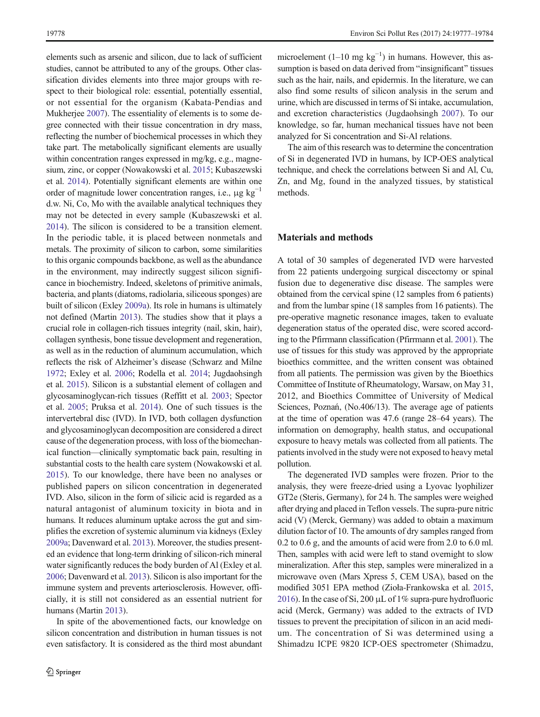elements such as arsenic and silicon, due to lack of sufficient studies, cannot be attributed to any of the groups. Other classification divides elements into three major groups with respect to their biological role: essential, potentially essential, or not essential for the organism (Kabata-Pendias and Mukherjee [2007](#page-7-0)). The essentiality of elements is to some degree connected with their tissue concentration in dry mass, reflecting the number of biochemical processes in which they take part. The metabolically significant elements are usually within concentration ranges expressed in mg/kg, e.g., magnesium, zinc, or copper (Nowakowski et al. [2015](#page-7-0); Kubaszewski et al. [2014](#page-7-0)). Potentially significant elements are within one order of magnitude lower concentration ranges, i.e.,  $\mu$ g kg<sup>-1</sup> d.w. Ni, Co, Mo with the available analytical techniques they may not be detected in every sample (Kubaszewski et al. [2014\)](#page-7-0). The silicon is considered to be a transition element. In the periodic table, it is placed between nonmetals and metals. The proximity of silicon to carbon, some similarities to this organic compounds backbone, as well as the abundance in the environment, may indirectly suggest silicon significance in biochemistry. Indeed, skeletons of primitive animals, bacteria, and plants (diatoms, radiolaria, siliceous sponges) are built of silicon (Exley [2009a\)](#page-6-0). Its role in humans is ultimately not defined (Martin [2013\)](#page-7-0). The studies show that it plays a crucial role in collagen-rich tissues integrity (nail, skin, hair), collagen synthesis, bone tissue development and regeneration, as well as in the reduction of aluminum accumulation, which reflects the risk of Alzheimer's disease (Schwarz and Milne [1972;](#page-7-0) Exley et al. [2006](#page-6-0); Rodella et al. [2014](#page-7-0); Jugdaohsingh et al. [2015](#page-7-0)). Silicon is a substantial element of collagen and glycosaminoglycan-rich tissues (Reffitt et al. [2003](#page-7-0); Spector et al. [2005;](#page-7-0) Pruksa et al. [2014\)](#page-7-0). One of such tissues is the intervertebral disc (IVD). In IVD, both collagen dysfunction and glycosaminoglycan decomposition are considered a direct cause of the degeneration process, with loss of the biomechanical function—clinically symptomatic back pain, resulting in substantial costs to the health care system (Nowakowski et al. [2015\)](#page-7-0). To our knowledge, there have been no analyses or published papers on silicon concentration in degenerated IVD. Also, silicon in the form of silicic acid is regarded as a natural antagonist of aluminum toxicity in biota and in humans. It reduces aluminum uptake across the gut and simplifies the excretion of systemic aluminum via kidneys (Exley [2009a;](#page-6-0) Davenward et al. [2013\)](#page-6-0). Moreover, the studies presented an evidence that long-term drinking of silicon-rich mineral water significantly reduces the body burden of Al (Exley et al. [2006;](#page-6-0) Davenward et al. [2013\)](#page-6-0). Silicon is also important for the immune system and prevents arteriosclerosis. However, officially, it is still not considered as an essential nutrient for humans (Martin [2013\)](#page-7-0).

In spite of the abovementioned facts, our knowledge on silicon concentration and distribution in human tissues is not even satisfactory. It is considered as the third most abundant

microelement  $(1-10 \text{ mg kg}^{-1})$  in humans. However, this assumption is based on data derived from "insignificant" tissues such as the hair, nails, and epidermis. In the literature, we can also find some results of silicon analysis in the serum and urine, which are discussed in terms of Si intake, accumulation, and excretion characteristics (Jugdaohsingh [2007](#page-6-0)). To our knowledge, so far, human mechanical tissues have not been analyzed for Si concentration and Si-Al relations.

The aim of this research was to determine the concentration of Si in degenerated IVD in humans, by ICP-OES analytical technique, and check the correlations between Si and Al, Cu, Zn, and Mg, found in the analyzed tissues, by statistical methods.

## Materials and methods

A total of 30 samples of degenerated IVD were harvested from 22 patients undergoing surgical discectomy or spinal fusion due to degenerative disc disease. The samples were obtained from the cervical spine (12 samples from 6 patients) and from the lumbar spine (18 samples from 16 patients). The pre-operative magnetic resonance images, taken to evaluate degeneration status of the operated disc, were scored according to the Pfirrmann classification (Pfirrmann et al. [2001\)](#page-7-0). The use of tissues for this study was approved by the appropriate bioethics committee, and the written consent was obtained from all patients. The permission was given by the Bioethics Committee of Institute of Rheumatology, Warsaw, on May 31, 2012, and Bioethics Committee of University of Medical Sciences, Poznań, (No.406/13). The average age of patients at the time of operation was 47.6 (range 28–64 years). The information on demography, health status, and occupational exposure to heavy metals was collected from all patients. The patients involved in the study were not exposed to heavy metal pollution.

The degenerated IVD samples were frozen. Prior to the analysis, they were freeze-dried using a Lyovac lyophilizer GT2e (Steris, Germany), for 24 h. The samples were weighed after drying and placed in Teflon vessels. The supra-pure nitric acid (V) (Merck, Germany) was added to obtain a maximum dilution factor of 10. The amounts of dry samples ranged from 0.2 to 0.6 g, and the amounts of acid were from 2.0 to 6.0 ml. Then, samples with acid were left to stand overnight to slow mineralization. After this step, samples were mineralized in a microwave oven (Mars Xpress 5, CEM USA), based on the modified 3051 EPA method (Zioła-Frankowska et al. [2015,](#page-7-0) [2016\)](#page-7-0). In the case of Si, 200  $\mu$ L of 1% supra-pure hydrofluoric acid (Merck, Germany) was added to the extracts of IVD tissues to prevent the precipitation of silicon in an acid medium. The concentration of Si was determined using a Shimadzu ICPE 9820 ICP-OES spectrometer (Shimadzu,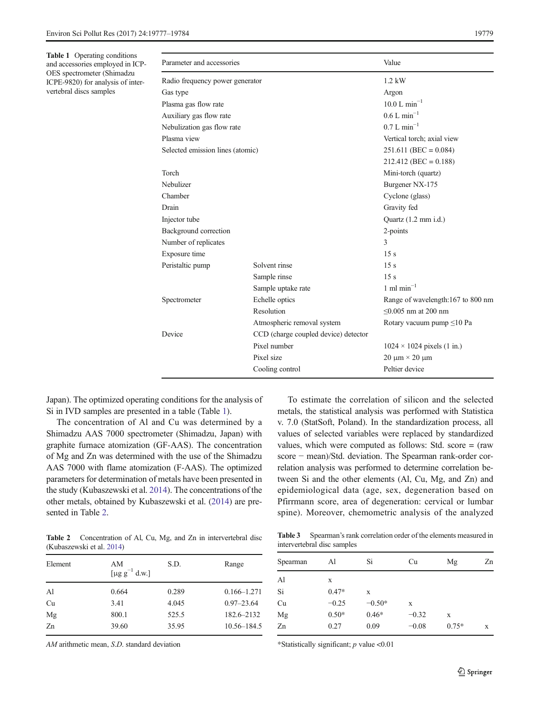<span id="page-2-0"></span>

| OES spectrometer (Shimadzu<br>$1.2$ kW<br>Radio frequency power generator<br>ICPE-9820) for analysis of inter-<br>vertebral discs samples<br>Gas type<br>Argon<br>$10.0 L min^{-1}$<br>Plasma gas flow rate<br>$0.6 L min^{-1}$<br>Auxiliary gas flow rate<br>$0.7 L min^{-1}$<br>Nebulization gas flow rate<br>Plasma view<br>Vertical torch; axial view<br>Selected emission lines (atomic)<br>$251.611$ (BEC = 0.084) |  |  |
|--------------------------------------------------------------------------------------------------------------------------------------------------------------------------------------------------------------------------------------------------------------------------------------------------------------------------------------------------------------------------------------------------------------------------|--|--|
|                                                                                                                                                                                                                                                                                                                                                                                                                          |  |  |
|                                                                                                                                                                                                                                                                                                                                                                                                                          |  |  |
|                                                                                                                                                                                                                                                                                                                                                                                                                          |  |  |
|                                                                                                                                                                                                                                                                                                                                                                                                                          |  |  |
|                                                                                                                                                                                                                                                                                                                                                                                                                          |  |  |
|                                                                                                                                                                                                                                                                                                                                                                                                                          |  |  |
|                                                                                                                                                                                                                                                                                                                                                                                                                          |  |  |
| $212.412$ (BEC = 0.188)                                                                                                                                                                                                                                                                                                                                                                                                  |  |  |
| Torch<br>Mini-torch (quartz)                                                                                                                                                                                                                                                                                                                                                                                             |  |  |
| Nebulizer<br>Burgener NX-175                                                                                                                                                                                                                                                                                                                                                                                             |  |  |
| Chamber<br>Cyclone (glass)                                                                                                                                                                                                                                                                                                                                                                                               |  |  |
| Drain<br>Gravity fed                                                                                                                                                                                                                                                                                                                                                                                                     |  |  |
| Injector tube<br>Quartz (1.2 mm i.d.)                                                                                                                                                                                                                                                                                                                                                                                    |  |  |
| Background correction<br>2-points                                                                                                                                                                                                                                                                                                                                                                                        |  |  |
| 3<br>Number of replicates                                                                                                                                                                                                                                                                                                                                                                                                |  |  |
| Exposure time<br>15 <sub>s</sub>                                                                                                                                                                                                                                                                                                                                                                                         |  |  |
| Solvent rinse<br>Peristaltic pump<br>15 <sub>s</sub>                                                                                                                                                                                                                                                                                                                                                                     |  |  |
| 15 <sub>s</sub><br>Sample rinse                                                                                                                                                                                                                                                                                                                                                                                          |  |  |
| 1 ml $min^{-1}$<br>Sample uptake rate                                                                                                                                                                                                                                                                                                                                                                                    |  |  |
| Echelle optics<br>Spectrometer<br>Range of wavelength:167 to 800 nm                                                                                                                                                                                                                                                                                                                                                      |  |  |
| Resolution<br>$< 0.005$ nm at 200 nm                                                                                                                                                                                                                                                                                                                                                                                     |  |  |
| Atmospheric removal system<br>Rotary vacuum pump $\leq 10$ Pa                                                                                                                                                                                                                                                                                                                                                            |  |  |
| Device<br>CCD (charge coupled device) detector                                                                                                                                                                                                                                                                                                                                                                           |  |  |
| Pixel number<br>$1024 \times 1024$ pixels (1 in.)                                                                                                                                                                                                                                                                                                                                                                        |  |  |
| Pixel size<br>$20 \mu m \times 20 \mu m$                                                                                                                                                                                                                                                                                                                                                                                 |  |  |
| Peltier device<br>Cooling control                                                                                                                                                                                                                                                                                                                                                                                        |  |  |

Japan). The optimized operating conditions for the analysis of Si in IVD samples are presented in a table (Table 1).

The concentration of Al and Cu was determined by a Shimadzu AAS 7000 spectrometer (Shimadzu, Japan) with graphite furnace atomization (GF-AAS). The concentration of Mg and Zn was determined with the use of the Shimadzu AAS 7000 with flame atomization (F-AAS). The optimized parameters for determination of metals have been presented in the study (Kubaszewski et al. [2014](#page-7-0)). The concentrations of the other metals, obtained by Kubaszewski et al. [\(2014\)](#page-7-0) are presented in Table 2.

To estimate the correlation of silicon and the selected metals, the statistical analysis was performed with Statistica v. 7.0 (StatSoft, Poland). In the standardization process, all values of selected variables were replaced by standardized values, which were computed as follows: Std. score = (raw score – mean)/Std. deviation. The Spearman rank-order correlation analysis was performed to determine correlation between Si and the other elements (Al, Cu, Mg, and Zn) and epidemiological data (age, sex, degeneration based on Pfirrmann score, area of degeneration: cervical or lumbar spine). Moreover, chemometric analysis of the analyzed

Table 2 Concentration of Al, Cu, Mg, and Zn in intervertebral disc (Kubaszewski et al. [2014](#page-7-0))

| Element | AM<br>[ $\mu$ g g <sup>-1</sup> d.w.] | S.D.  | Range           |
|---------|---------------------------------------|-------|-----------------|
| Al      | 0.664                                 | 0.289 | $0.166 - 1.271$ |
| Cu      | 3.41                                  | 4.045 | $0.97 - 23.64$  |
| Mg      | 800.1                                 | 525.5 | 182.6-2132      |
| Zn      | 39.60                                 | 35.95 | 10.56-184.5     |

Table 3 Spearman's rank correlation order of the elements measured in intervertebral disc samples

| Spearman | Al      | Si       | Cu      | Mg      | Zn |
|----------|---------|----------|---------|---------|----|
| Al       | X       |          |         |         |    |
| Si       | $0.47*$ | X        |         |         |    |
| Cu       | $-0.25$ | $-0.50*$ | X       |         |    |
| Mg       | $0.50*$ | $0.46*$  | $-0.32$ | X       |    |
| Zn       | 0.27    | 0.09     | $-0.08$ | $0.75*$ | X  |

AM arithmetic mean, S.D. standard deviation

\*Statistically significant;  $p$  value <0.01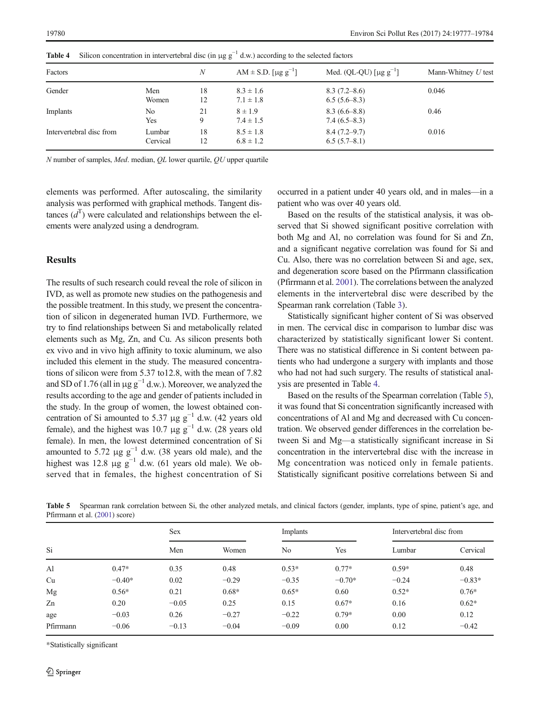| Factors                  |                    | N        | AM $\pm$ S.D. [µg g <sup>-1</sup> ] | Med. (QL-QU) $\lceil \mu g g^{-1} \rceil$ | Mann-Whitney U test |
|--------------------------|--------------------|----------|-------------------------------------|-------------------------------------------|---------------------|
| Gender                   | Men<br>Women       | 18<br>12 | $8.3 \pm 1.6$<br>$7.1 \pm 1.8$      | $8.3(7.2 - 8.6)$<br>$6.5(5.6-8.3)$        | 0.046               |
| Implants                 | No<br>Yes          | 21<br>9  | $8 \pm 1.9$<br>$7.4 \pm 1.5$        | $8.3(6.6 - 8.8)$<br>$7.4(6.5-8.3)$        | 0.46                |
| Intervertebral disc from | Lumbar<br>Cervical | 18<br>12 | $8.5 \pm 1.8$<br>$6.8 \pm 1.2$      | $8.4(7.2-9.7)$<br>6.5(5.7–8.1)            | 0.016               |

**Table 4** Silicon concentration in intervertebral disc (in  $\mu$ g g<sup>-1</sup> d.w.) according to the selected factors

N number of samples, Med. median, QL lower quartile, QU upper quartile

elements was performed. After autoscaling, the similarity analysis was performed with graphical methods. Tangent distances  $(d^T)$  were calculated and relationships between the elements were analyzed using a dendrogram.

### **Results**

The results of such research could reveal the role of silicon in IVD, as well as promote new studies on the pathogenesis and the possible treatment. In this study, we present the concentration of silicon in degenerated human IVD. Furthermore, we try to find relationships between Si and metabolically related elements such as Mg, Zn, and Cu. As silicon presents both ex vivo and in vivo high affinity to toxic aluminum, we also included this element in the study. The measured concentrations of silicon were from 5.37 to12.8, with the mean of 7.82 and SD of 1.76 (all in  $\mu$ g g<sup>-1</sup> d.w.). Moreover, we analyzed the results according to the age and gender of patients included in the study. In the group of women, the lowest obtained concentration of Si amounted to 5.37 µg  $g^{-1}$  d.w. (42 years old female), and the highest was 10.7 µg  $g^{-1}$  d.w. (28 years old female). In men, the lowest determined concentration of Si amounted to 5.72 μg  $g^{-1}$  d.w. (38 years old male), and the highest was  $12.8 \mu g g^{-1}$  d.w. (61 years old male). We observed that in females, the highest concentration of Si

occurred in a patient under 40 years old, and in males—in a patient who was over 40 years old.

Based on the results of the statistical analysis, it was observed that Si showed significant positive correlation with both Mg and Al, no correlation was found for Si and Zn, and a significant negative correlation was found for Si and Cu. Also, there was no correlation between Si and age, sex, and degeneration score based on the Pfirrmann classification (Pfirrmann et al. [2001\)](#page-7-0). The correlations between the analyzed elements in the intervertebral disc were described by the Spearman rank correlation (Table [3\)](#page-2-0).

Statistically significant higher content of Si was observed in men. The cervical disc in comparison to lumbar disc was characterized by statistically significant lower Si content. There was no statistical difference in Si content between patients who had undergone a surgery with implants and those who had not had such surgery. The results of statistical analysis are presented in Table 4.

Based on the results of the Spearman correlation (Table 5), it was found that Si concentration significantly increased with concentrations of Al and Mg and decreased with Cu concentration. We observed gender differences in the correlation between Si and Mg—a statistically significant increase in Si concentration in the intervertebral disc with the increase in Mg concentration was noticed only in female patients. Statistically significant positive correlations between Si and

Table 5 Spearman rank correlation between Si, the other analyzed metals, and clinical factors (gender, implants, type of spine, patient's age, and Pfirrmann et al. [\(2001\)](#page-7-0) score)

|           |          | Sex     |         | Implants |          |         | Intervertebral disc from |  |
|-----------|----------|---------|---------|----------|----------|---------|--------------------------|--|
| Si        |          | Men     | Women   | No       | Yes      | Lumbar  | Cervical                 |  |
| Al        | $0.47*$  | 0.35    | 0.48    | $0.53*$  | $0.77*$  | $0.59*$ | 0.48                     |  |
| Cu        | $-0.40*$ | 0.02    | $-0.29$ | $-0.35$  | $-0.70*$ | $-0.24$ | $-0.83*$                 |  |
| Mg        | $0.56*$  | 0.21    | $0.68*$ | $0.65*$  | 0.60     | $0.52*$ | $0.76*$                  |  |
| Zn        | 0.20     | $-0.05$ | 0.25    | 0.15     | $0.67*$  | 0.16    | $0.62*$                  |  |
| age       | $-0.03$  | 0.26    | $-0.27$ | $-0.22$  | $0.79*$  | 0.00    | 0.12                     |  |
| Pfirrmann | $-0.06$  | $-0.13$ | $-0.04$ | $-0.09$  | 0.00     | 0.12    | $-0.42$                  |  |

\*Statistically significant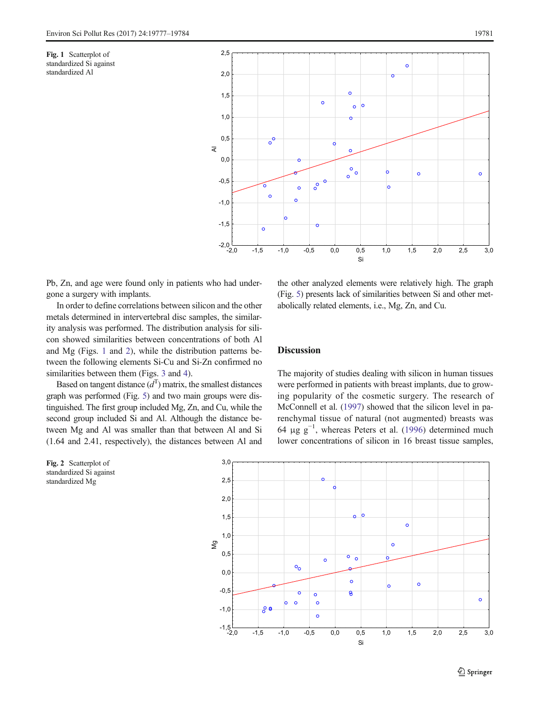Fig. 1 Scatterplot of standardized Si against standardized Al



Pb, Zn, and age were found only in patients who had undergone a surgery with implants.

In order to define correlations between silicon and the other metals determined in intervertebral disc samples, the similarity analysis was performed. The distribution analysis for silicon showed similarities between concentrations of both Al and Mg (Figs. 1 and 2), while the distribution patterns between the following elements Si-Cu and Si-Zn confirmed no similarities between them (Figs. [3](#page-5-0) and [4](#page-5-0)).

Based on tangent distance  $(d^T)$  matrix, the smallest distances graph was performed (Fig. [5\)](#page-6-0) and two main groups were distinguished. The first group included Mg, Zn, and Cu, while the second group included Si and Al. Although the distance between Mg and Al was smaller than that between Al and Si (1.64 and 2.41, respectively), the distances between Al and

Fig. 2 Scatterplot of standardized Si against standardized Mg

the other analyzed elements were relatively high. The graph (Fig. [5\)](#page-6-0) presents lack of similarities between Si and other metabolically related elements, i.e., Mg, Zn, and Cu.

## Discussion

The majority of studies dealing with silicon in human tissues were performed in patients with breast implants, due to growing popularity of the cosmetic surgery. The research of McConnell et al. ([1997](#page-7-0)) showed that the silicon level in parenchymal tissue of natural (not augmented) breasts was 64 μg  $g^{-1}$ , whereas Peters et al. [\(1996\)](#page-7-0) determined much lower concentrations of silicon in 16 breast tissue samples,

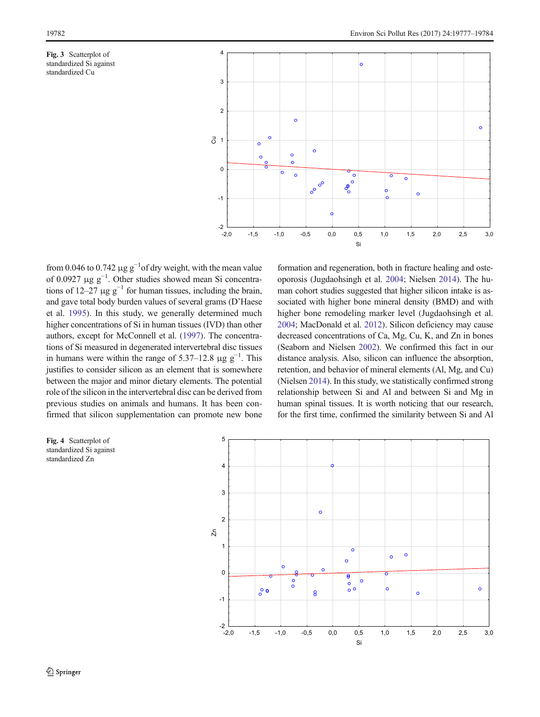<span id="page-5-0"></span>



from 0.046 to 0.742  $\mu$ g g<sup>-1</sup> of dry weight, with the mean value of 0.0927 μg g−<sup>1</sup> . Other studies showed mean Si concentrations of 12–27 μg  $g^{-1}$  for human tissues, including the brain, and gave total body burden values of several grams (D'Haese et al. [1995](#page-6-0)). In this study, we generally determined much higher concentrations of Si in human tissues (IVD) than other authors, except for McConnell et al. [\(1997](#page-7-0)). The concentrations of Si measured in degenerated intervertebral disc tissues in humans were within the range of 5.37–12.8  $\mu$ g g<sup>-1</sup>. This justifies to consider silicon as an element that is somewhere between the major and minor dietary elements. The potential role of the silicon in the intervertebral disc can be derived from previous studies on animals and humans. It has been confirmed that silicon supplementation can promote new bone

formation and regeneration, both in fracture healing and osteoporosis (Jugdaohsingh et al. [2004](#page-6-0); Nielsen [2014\)](#page-7-0). The human cohort studies suggested that higher silicon intake is associated with higher bone mineral density (BMD) and with higher bone remodeling marker level (Jugdaohsingh et al. [2004;](#page-6-0) MacDonald et al. [2012\)](#page-7-0). Silicon deficiency may cause decreased concentrations of Ca, Mg, Cu, K, and Zn in bones (Seaborn and Nielsen [2002](#page-7-0)). We confirmed this fact in our distance analysis. Also, silicon can influence the absorption, retention, and behavior of mineral elements (Al, Mg, and Cu) (Nielsen [2014](#page-7-0)). In this study, we statistically confirmed strong relationship between Si and Al and between Si and Mg in human spinal tissues. It is worth noticing that our research, for the first time, confirmed the similarity between Si and Al

Fig. 4 Scatterplot of standardized Si against standardized Zn

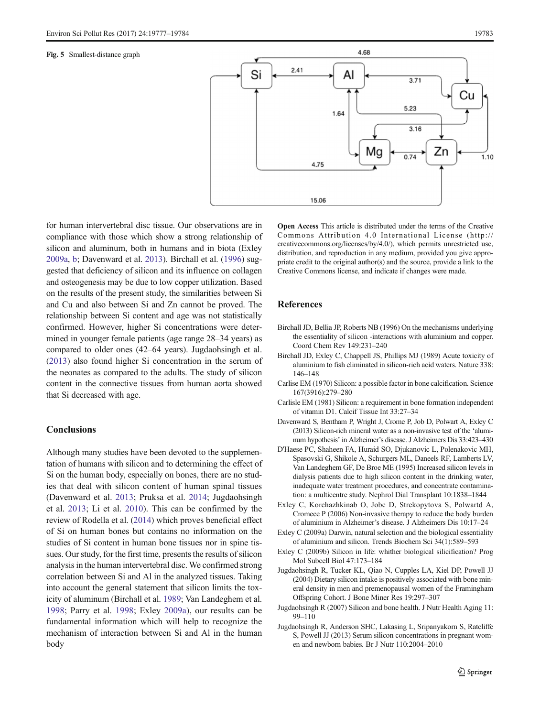#### <span id="page-6-0"></span>Fig. 5 Smallest-distance graph



for human intervertebral disc tissue. Our observations are in compliance with those which show a strong relationship of silicon and aluminum, both in humans and in biota (Exley 2009a, b; Davenward et al. 2013). Birchall et al. (1996) suggested that deficiency of silicon and its influence on collagen and osteogenesis may be due to low copper utilization. Based on the results of the present study, the similarities between Si and Cu and also between Si and Zn cannot be proved. The relationship between Si content and age was not statistically confirmed. However, higher Si concentrations were determined in younger female patients (age range 28–34 years) as compared to older ones (42–64 years). Jugdaohsingh et al. (2013) also found higher Si concentration in the serum of the neonates as compared to the adults. The study of silicon content in the connective tissues from human aorta showed that Si decreased with age.

#### **Conclusions**

Although many studies have been devoted to the supplementation of humans with silicon and to determining the effect of Si on the human body, especially on bones, there are no studies that deal with silicon content of human spinal tissues (Davenward et al. 2013; Pruksa et al. [2014](#page-7-0); Jugdaohsingh et al. 2013; Li et al. [2010\)](#page-7-0). This can be confirmed by the review of Rodella et al. [\(2014\)](#page-7-0) which proves beneficial effect of Si on human bones but contains no information on the studies of Si content in human bone tissues nor in spine tissues. Our study, for the first time, presents the results of silicon analysis in the human intervertebral disc. We confirmed strong correlation between Si and Al in the analyzed tissues. Taking into account the general statement that silicon limits the toxicity of aluminum (Birchall et al. 1989; Van Landeghem et al. [1998](#page-7-0); Parry et al. [1998;](#page-7-0) Exley 2009a), our results can be fundamental information which will help to recognize the mechanism of interaction between Si and Al in the human body

Open Access This article is distributed under the terms of the Creative Commons Attribution 4.0 International License (http:// creativecommons.org/licenses/by/4.0/), which permits unrestricted use, distribution, and reproduction in any medium, provided you give appropriate credit to the original author(s) and the source, provide a link to the Creative Commons license, and indicate if changes were made.

#### References

- Birchall JD, Bellia JP, Roberts NB (1996) On the mechanisms underlying the essentiality of silicon -interactions with aluminium and copper. Coord Chem Rev 149:231–240
- Birchall JD, Exley C, Chappell JS, Phillips MJ (1989) Acute toxicity of aluminium to fish eliminated in silicon-rich acid waters. Nature 338: 146–148
- Carlise EM (1970) Silicon: a possible factor in bone calcification. Science 167(3916):279–280
- Carlisle EM (1981) Silicon: a requirement in bone formation independent of vitamin D1. Calcif Tissue Int 33:27–34
- Davenward S, Bentham P, Wright J, Crome P, Job D, Polwart A, Exley C (2013) Silicon-rich mineral water as a non-invasive test of the 'aluminum hypothesis' in Alzheimer's disease. J Alzheimers Dis 33:423–430
- D'Haese PC, Shaheen FA, Huraid SO, Djukanovic L, Polenakovic MH, Spasovski G, Shikole A, Schurgers ML, Daneels RF, Lamberts LV, Van Landeghem GF, De Broe ME (1995) Increased silicon levels in dialysis patients due to high silicon content in the drinking water, inadequate water treatment procedures, and concentrate contamination: a multicentre study. Nephrol Dial Transplant 10:1838–1844
- Exley C, Korchazhkinab O, Jobc D, Strekopytova S, Polwartd A, Cromece P (2006) Non-invasive therapy to reduce the body burden of aluminium in Alzheimer's disease. J Alzheimers Dis 10:17–24
- Exley C (2009a) Darwin, natural selection and the biological essentiality of aluminium and silicon. Trends Biochem Sci 34(1):589–593
- Exley C (2009b) Silicon in life: whither biological silicification? Prog Mol Subcell Biol 47:173–184
- Jugdaohsingh R, Tucker KL, Qiao N, Cupples LA, Kiel DP, Powell JJ (2004) Dietary silicon intake is positively associated with bone mineral density in men and premenopausal women of the Framingham Offspring Cohort. J Bone Miner Res 19:297–307
- Jugdaohsingh R (2007) Silicon and bone health. J Nutr Health Aging 11: 99–110
- Jugdaohsingh R, Anderson SHC, Lakasing L, Sripanyakorn S, Ratcliffe S, Powell JJ (2013) Serum silicon concentrations in pregnant women and newborn babies. Br J Nutr 110:2004–2010